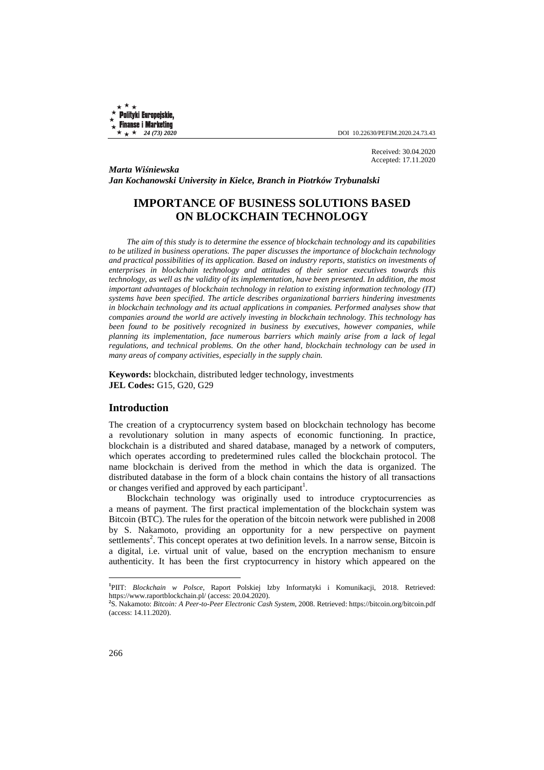Received: 30.04.2020 Accepted: 17.11.2020

*Marta Wiśniewska Jan Kochanowski University in Kielce, Branch in Piotrków Trybunalski* 

# **IMPORTANCE OF BUSINESS SOLUTIONS BASED ON BLOCKCHAIN TECHNOLOGY**

*The aim of this study is to determine the essence of blockchain technology and its capabilities to be utilized in business operations. The paper discusses the importance of blockchain technology and practical possibilities of its application. Based on industry reports, statistics on investments of enterprises in blockchain technology and attitudes of their senior executives towards this technology, as well as the validity of its implementation, have been presented. In addition, the most important advantages of blockchain technology in relation to existing information technology (IT) systems have been specified. The article describes organizational barriers hindering investments in blockchain technology and its actual applications in companies. Performed analyses show that companies around the world are actively investing in blockchain technology. This technology has been found to be positively recognized in business by executives, however companies, while planning its implementation, face numerous barriers which mainly arise from a lack of legal regulations, and technical problems. On the other hand, blockchain technology can be used in many areas of company activities, especially in the supply chain.* 

**Keywords:** blockchain, distributed ledger technology, investments **JEL Codes:** G15, G20, G29

### **Introduction**

The creation of a cryptocurrency system based on blockchain technology has become a revolutionary solution in many aspects of economic functioning. In practice, blockchain is a distributed and shared database, managed by a network of computers, which operates according to predetermined rules called the blockchain protocol. The name blockchain is derived from the method in which the data is organized. The distributed database in the form of a block chain contains the history of all transactions or changes verified and approved by each participant<sup>1</sup>.

Blockchain technology was originally used to introduce cryptocurrencies as a means of payment. The first practical implementation of the blockchain system was Bitcoin (BTC). The rules for the operation of the bitcoin network were published in 2008 by S. Nakamoto, providing an opportunity for a new perspective on payment settlements<sup>2</sup>. This concept operates at two definition levels. In a narrow sense, Bitcoin is a digital, i.e. virtual unit of value, based on the encryption mechanism to ensure authenticity. It has been the first cryptocurrency in history which appeared on the

**<sup>1</sup>** PIIT: *Blockchain w Polsce*, Raport Polskiej Izby Informatyki i Komunikacji, 2018. Retrieved: https://www.raportblockchain.pl/ (access: 20.04.2020).

**<sup>2</sup>** S. Nakamoto: *Bitcoin: A Peer-to-Peer Electronic Cash System*, 2008. Retrieved: https://bitcoin.org/bitcoin.pdf (access: 14.11.2020).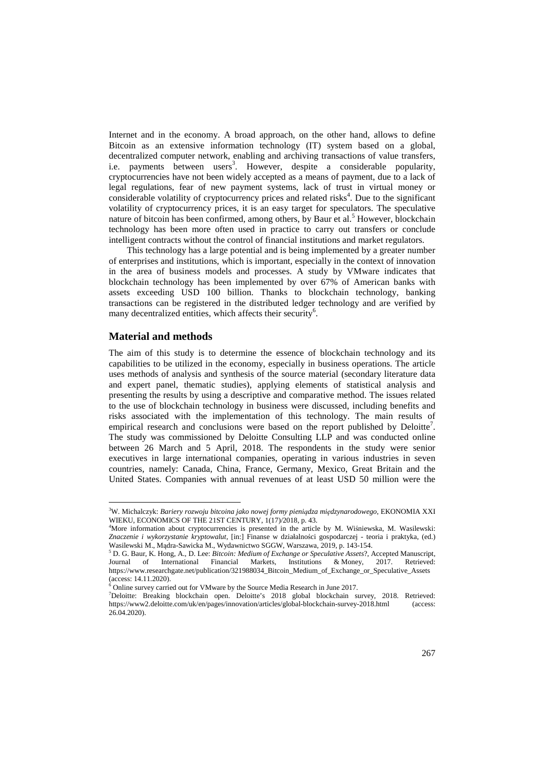Internet and in the economy. A broad approach, on the other hand, allows to define Bitcoin as an extensive information technology (IT) system based on a global, decentralized computer network, enabling and archiving transactions of value transfers, i.e. payments between users<sup>3</sup>. However, despite a considerable popularity, cryptocurrencies have not been widely accepted as a means of payment, due to a lack of legal regulations, fear of new payment systems, lack of trust in virtual money or considerable volatility of cryptocurrency prices and related risks<sup>4</sup>. Due to the significant volatility of cryptocurrency prices, it is an easy target for speculators. The speculative nature of bitcoin has been confirmed, among others, by Baur et al.<sup>5</sup> However, blockchain technology has been more often used in practice to carry out transfers or conclude intelligent contracts without the control of financial institutions and market regulators.

This technology has a large potential and is being implemented by a greater number of enterprises and institutions, which is important, especially in the context of innovation in the area of business models and processes. A study by VMware indicates that blockchain technology has been implemented by over 67% of American banks with assets exceeding USD 100 billion. Thanks to blockchain technology, banking transactions can be registered in the distributed ledger technology and are verified by many decentralized entities, which affects their security<sup>6</sup>.

### **Material and methods**

 $\overline{a}$ 

The aim of this study is to determine the essence of blockchain technology and its capabilities to be utilized in the economy, especially in business operations. The article uses methods of analysis and synthesis of the source material (secondary literature data and expert panel, thematic studies), applying elements of statistical analysis and presenting the results by using a descriptive and comparative method. The issues related to the use of blockchain technology in business were discussed, including benefits and risks associated with the implementation of this technology. The main results of empirical research and conclusions were based on the report published by Deloitte<sup>7</sup>. The study was commissioned by Deloitte Consulting LLP and was conducted online between 26 March and 5 April, 2018. The respondents in the study were senior executives in large international companies, operating in various industries in seven countries, namely: Canada, China, France, Germany, Mexico, Great Britain and the United States. Companies with annual revenues of at least USD 50 million were the

<sup>3</sup>W. Michalczyk: *Bariery rozwoju bitcoina jako nowej formy pieniądza międzynarodowego*, EKONOMIA XXI WIEKU, ECONOMICS OF THE 21ST CENTURY, 1(17)/2018, p. 43.

<sup>4</sup>More information about cryptocurrencies is presented in the article by M. Wiśniewska, M. Wasilewski: *Znaczenie i wykorzystanie kryptowalut*, [in:] Finanse w działalności gospodarczej - teoria i praktyka, (ed.) Wasilewski M., Mądra-Sawicka M., Wydawnictwo SGGW, Warszawa, 2019, p. 143-154.

<sup>5</sup> D. G. Baur, K. Hong, A., D. Lee: *Bitcoin: Medium of Exchange or Speculative Assets*?, Accepted Manuscript, Journal of International Financial Markets, Institutions & Money, 2017. Retrieved: https://www.researchgate.net/publication/321988034\_Bitcoin\_Medium\_of\_Exchange\_or\_Speculative\_Assets (access: 14.11.2020).

<sup>&</sup>lt;sup>6</sup> Online survey carried out for VMware by the Source Media Research in June 2017.

<sup>7</sup>Deloitte: Breaking blockchain open. Deloitte's 2018 global blockchain survey, 2018. Retrieved: https://www2.deloitte.com/uk/en/pages/innovation/articles/global-blockchain-survey-2018.html (access: 26.04.2020).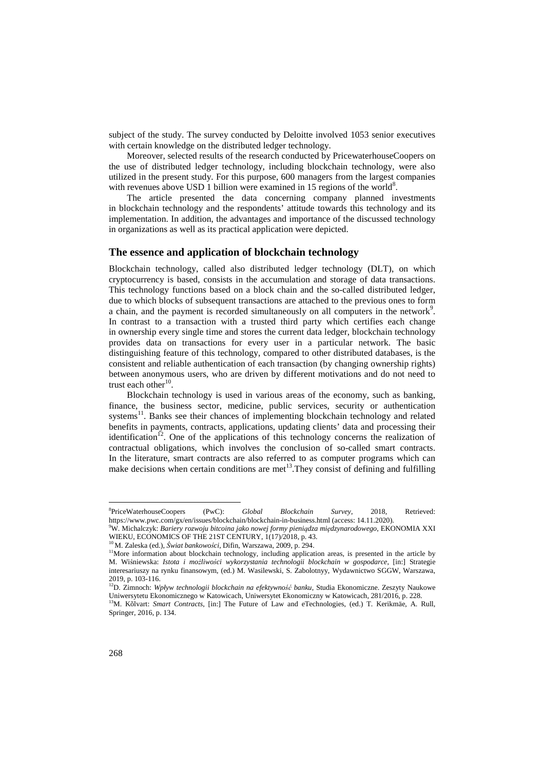subject of the study. The survey conducted by Deloitte involved 1053 senior executives with certain knowledge on the distributed ledger technology.

Moreover, selected results of the research conducted by PricewaterhouseCoopers on the use of distributed ledger technology, including blockchain technology, were also utilized in the present study. For this purpose, 600 managers from the largest companies with revenues above USD 1 billion were examined in 15 regions of the world<sup>8</sup>.

The article presented the data concerning company planned investments in blockchain technology and the respondents' attitude towards this technology and its implementation. In addition, the advantages and importance of the discussed technology in organizations as well as its practical application were depicted.

#### **The essence and application of blockchain technology**

Blockchain technology, called also distributed ledger technology (DLT), on which cryptocurrency is based, consists in the accumulation and storage of data transactions. This technology functions based on a block chain and the so-called distributed ledger, due to which blocks of subsequent transactions are attached to the previous ones to form a chain, and the payment is recorded simultaneously on all computers in the network<sup>9</sup>. In contrast to a transaction with a trusted third party which certifies each change in ownership every single time and stores the current data ledger, blockchain technology provides data on transactions for every user in a particular network. The basic distinguishing feature of this technology, compared to other distributed databases, is the consistent and reliable authentication of each transaction (by changing ownership rights) between anonymous users, who are driven by different motivations and do not need to trust each other $10$ .

Blockchain technology is used in various areas of the economy, such as banking, finance, the business sector, medicine, public services, security or authentication systems<sup>11</sup>. Banks see their chances of implementing blockchain technology and related benefits in payments, contracts, applications, updating clients' data and processing their identification<sup>12</sup>. One of the applications of this technology concerns the realization of contractual obligations, which involves the conclusion of so-called smart contracts. In the literature, smart contracts are also referred to as computer programs which can make decisions when certain conditions are met<sup>13</sup>. They consist of defining and fulfilling

<sup>8</sup> PriceWaterhouseCoopers (PwC): *Global Blockchain Survey*, 2018, Retrieved: https://www.pwc.com/gx/en/issues/blockchain/blockchain-in-business.html (access: 14.11.2020).

<sup>9</sup>W. Michalczyk: *Bariery rozwoju bitcoina jako nowej formy pieniądza międzynarodowego*, EKONOMIA XXI WIEKU, ECONOMICS OF THE 21ST CENTURY, 1(17)/2018, p. 43.

<sup>10</sup>M. Zaleska (ed.), *Świat bankowości*, Difin, Warszawa, 2009, p. 294.

<sup>&</sup>lt;sup>11</sup>More information about blockchain technology, including application areas, is presented in the article by M. Wiśniewska: *Istota i możliwości wykorzystania technologii blockchain w gospodarce*, [in:] Strategie interesariuszy na rynku finansowym, (ed.) M. Wasilewski, S. Zabolotnyy, Wydawnictwo SGGW, Warszawa, 2019, p. 103-116.

<sup>12</sup>D. Zimnoch: *Wpływ technologii blockchain na efektywność banku*, Studia Ekonomiczne. Zeszyty Naukowe Uniwersytetu Ekonomicznego w Katowicach, Uniwersytet Ekonomiczny w Katowicach, 281/2016, p. 228. <sup>13</sup>M. Kõlvart: *Smart Contracts*, [in:] The Future of Law and eTechnologies, (ed.) T. Kerikmäe, A. Rull,

Springer, 2016, p. 134.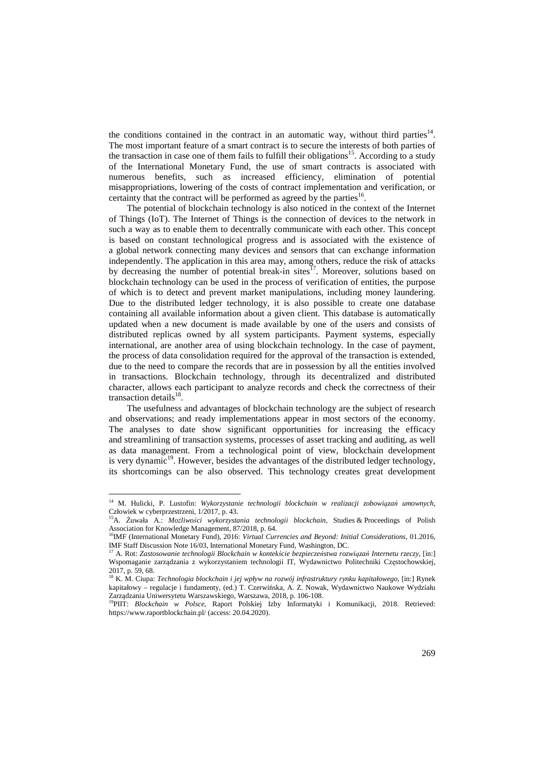the conditions contained in the contract in an automatic way, without third parties $14$ . The most important feature of a smart contract is to secure the interests of both parties of the transaction in case one of them fails to fulfill their obligations<sup>15</sup>. According to a study of the International Monetary Fund, the use of smart contracts is associated with numerous benefits, such as increased efficiency, elimination of potential misappropriations, lowering of the costs of contract implementation and verification, or certainty that the contract will be performed as agreed by the parties $16$ .

The potential of blockchain technology is also noticed in the context of the Internet of Things (IoT). The Internet of Things is the connection of devices to the network in such a way as to enable them to decentrally communicate with each other. This concept is based on constant technological progress and is associated with the existence of a global network connecting many devices and sensors that can exchange information independently. The application in this area may, among others, reduce the risk of attacks by decreasing the number of potential break-in sites $^{17}$ . Moreover, solutions based on blockchain technology can be used in the process of verification of entities, the purpose of which is to detect and prevent market manipulations, including money laundering. Due to the distributed ledger technology, it is also possible to create one database containing all available information about a given client. This database is automatically updated when a new document is made available by one of the users and consists of distributed replicas owned by all system participants. Payment systems, especially international, are another area of using blockchain technology. In the case of payment, the process of data consolidation required for the approval of the transaction is extended, due to the need to compare the records that are in possession by all the entities involved in transactions. Blockchain technology, through its decentralized and distributed character, allows each participant to analyze records and check the correctness of their transaction details<sup>18</sup>.

The usefulness and advantages of blockchain technology are the subject of research and observations; and ready implementations appear in most sectors of the economy. The analyses to date show significant opportunities for increasing the efficacy and streamlining of transaction systems, processes of asset tracking and auditing, as well as data management. From a technological point of view, blockchain development is very dynamic<sup>19</sup>. However, besides the advantages of the distributed ledger technology, its shortcomings can be also observed. This technology creates great development

<sup>14</sup> M. Hulicki, P. Lustofin: *Wykorzystanie technologii blockchain w realizacji zobowiązań umownych*, Człowiek w cyberprzestrzeni, 1/2017, p. 43. <sup>15</sup>A. Żuwała A.: *Możliwości wykorzystania technologii blockchain*, Studies & Proceedings of Polish

Association for Knowledge Management, 87/2018, p. 64.

<sup>&</sup>lt;sup>16</sup>IMF (International Monetary Fund), 2016: *Virtual Currencies and Beyond: Initial Considerations*, 01.2016, IMF Staff Discussion Note 16/03, International Monetary Fund, Washington, DC.

<sup>17</sup> A. Rot: *Zastosowanie technologii Blockchain w kontekście bezpieczeństwa rozwiązań Internetu rzeczy*, [in:] Wspomaganie zarządzania z wykorzystaniem technologii IT, Wydawnictwo Politechniki Częstochowskiej, 2017, p. 59, 68.

<sup>18</sup> K. M. Ciupa: *Technologia blockchain i jej wpływ na rozwój infrastruktury rynku kapitałowego*, [in:] Rynek kapitałowy – regulacje i fundamenty, (ed.) T. Czerwińska, A. Z. Nowak, Wydawnictwo Naukowe Wydziału Zarządzania Uniwersytetu Warszawskiego, Warszawa, 2018, p. 106-108.

<sup>&</sup>lt;sup>19</sup>PIIT: *Blockchain w Polsce*, Raport Polskiej Izby Informatyki i Komunikacji, 2018. Retrieved: https://www.raportblockchain.pl/ (access: 20.04.2020).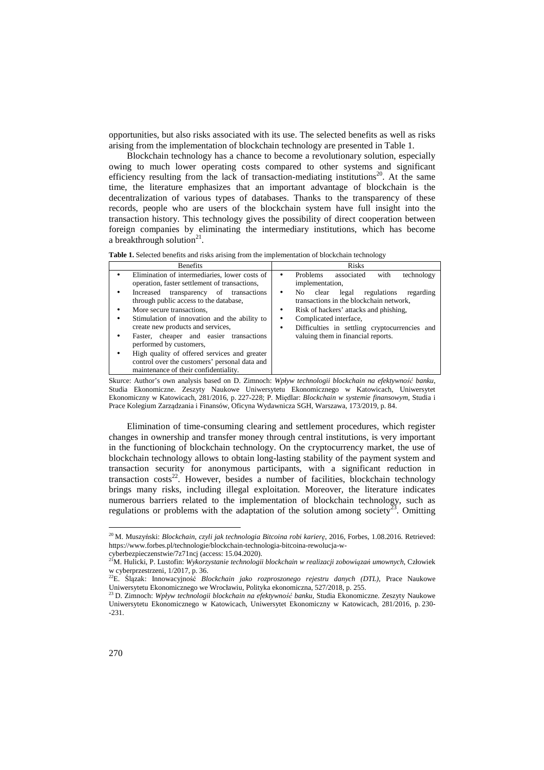opportunities, but also risks associated with its use. The selected benefits as well as risks arising from the implementation of blockchain technology are presented in Table 1.

Blockchain technology has a chance to become a revolutionary solution, especially owing to much lower operating costs compared to other systems and significant efficiency resulting from the lack of transaction-mediating institutions<sup>20</sup>. At the same time, the literature emphasizes that an important advantage of blockchain is the decentralization of various types of databases. Thanks to the transparency of these records, people who are users of the blockchain system have full insight into the transaction history. This technology gives the possibility of direct cooperation between foreign companies by eliminating the intermediary institutions, which has become a breakthrough solution $2^1$ .

**Table 1.** Selected benefits and risks arising from the implementation of blockchain technology

Skurce: Author's own analysis based on D. Zimnoch: *Wpływ technologii blockchain na efektywność banku*, Studia Ekonomiczne. Zeszyty Naukowe Uniwersytetu Ekonomicznego w Katowicach, Uniwersytet Ekonomiczny w Katowicach, 281/2016, p. 227-228; P. Międlar: *Blockchain w systemie finansowym*, Studia i Prace Kolegium Zarządzania i Finansów, Oficyna Wydawnicza SGH, Warszawa, 173/2019, p. 84.

Elimination of time-consuming clearing and settlement procedures, which register changes in ownership and transfer money through central institutions, is very important in the functioning of blockchain technology. On the cryptocurrency market, the use of blockchain technology allows to obtain long-lasting stability of the payment system and transaction security for anonymous participants, with a significant reduction in transaction  $costs^{22}$ . However, besides a number of facilities, blockchain technology brings many risks, including illegal exploitation. Moreover, the literature indicates numerous barriers related to the implementation of blockchain technology, such as regulations or problems with the adaptation of the solution among society<sup>23</sup>. Omitting

<sup>20</sup>M. Muszyński: *Blockchain, czyli jak technologia Bitcoina robi karierę*, 2016, Forbes, 1.08.2016. Retrieved: https://www.forbes.pl/technologie/blockchain-technologia-bitcoina-rewolucja-w-

cyberbezpieczenstwie/7z71ncj (access: 15.04.2020). <sup>21</sup>M. Hulicki, P. Lustofin: *Wykorzystanie technologii blockchain w realizacji zobowiązań umownych*, Człowiek w cyberprzestrzeni, 1/2017, p. 36.

<sup>22</sup>E. Ślązak: Innowacyjność *Blockchain jako rozproszonego rejestru danych (DTL)*, Prace Naukowe Uniwersytetu Ekonomicznego we Wrocławiu, Polityka ekonomiczna, 527/2018, p. 255.

<sup>23</sup>D. Zimnoch: *Wpływ technologii blockchain na efektywność banku*, Studia Ekonomiczne. Zeszyty Naukowe Uniwersytetu Ekonomicznego w Katowicach, Uniwersytet Ekonomiczny w Katowicach, 281/2016, p. 230- -231.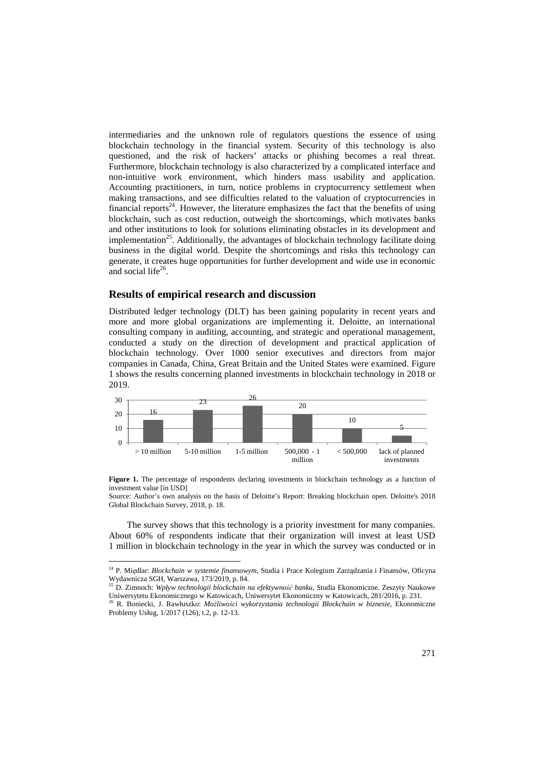intermediaries and the unknown role of regulators questions the essence of using blockchain technology in the financial system. Security of this technology is also questioned, and the risk of hackers' attacks or phishing becomes a real threat. Furthermore, blockchain technology is also characterized by a complicated interface and non-intuitive work environment, which hinders mass usability and application. Accounting practitioners, in turn, notice problems in cryptocurrency settlement when making transactions, and see difficulties related to the valuation of cryptocurrencies in financial reports<sup>24</sup>. However, the literature emphasizes the fact that the benefits of using blockchain, such as cost reduction, outweigh the shortcomings, which motivates banks and other institutions to look for solutions eliminating obstacles in its development and implementation<sup>25</sup>. Additionally, the advantages of blockchain technology facilitate doing business in the digital world. Despite the shortcomings and risks this technology can generate, it creates huge opportunities for further development and wide use in economic and social life $26$ .

#### **Results of empirical research and discussion**

 $\overline{a}$ 

Distributed ledger technology (DLT) has been gaining popularity in recent years and more and more global organizations are implementing it. Deloitte, an international consulting company in auditing, accounting, and strategic and operational management, conducted a study on the direction of development and practical application of blockchain technology. Over 1000 senior executives and directors from major companies in Canada, China, Great Britain and the United States were examined. Figure 1 shows the results concerning planned investments in blockchain technology in 2018 or 2019.



Figure 1. The percentage of respondents declaring investments in blockchain technology as a function of investment value [in USD]

The survey shows that this technology is a priority investment for many companies. About 60% of respondents indicate that their organization will invest at least USD 1 million in blockchain technology in the year in which the survey was conducted or in

Source: Author's own analysis on the basis of Deloitte's Report: Breaking blockchain open. Deloitte's 2018 Global Blockchain Survey, 2018, p. 18.

<sup>24</sup> P. Międlar: *Blockchain w systemie finansowym*, Studia i Prace Kolegium Zarządzania i Finansów, Oficyna Wydawnicza SGH, Warszawa, 173/2019, p. 84. <sup>25</sup> D. Zimnoch: *Wpływ technologii blockchain na efektywność banku*, Studia Ekonomiczne. Zeszyty Naukowe

Uniwersytetu Ekonomicznego w Katowicach, Uniwersytet Ekonomiczny w Katowicach, 281/2016, p. 231.

<sup>26</sup> R. Boniecki, J. Rawłuszko: *Możliwości wykorzystania technologii Blockchain w biznesie*, Ekonomiczne Problemy Usług, 1/2017 (126), t.2, p. 12-13.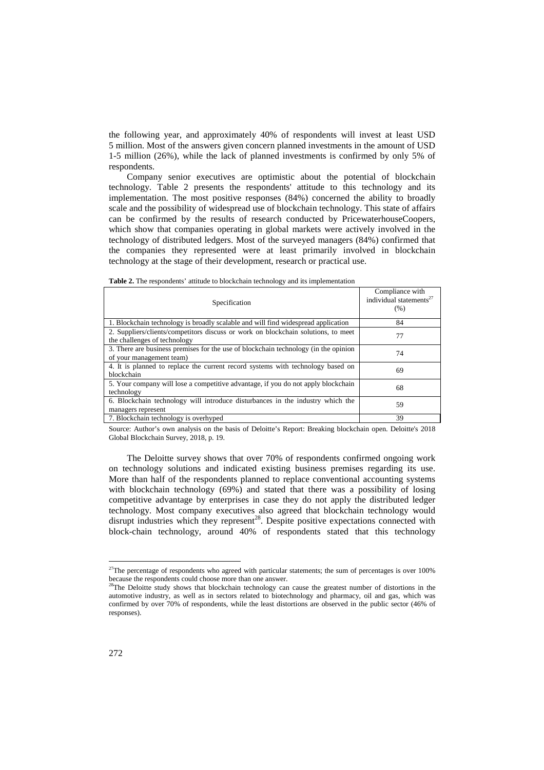the following year, and approximately 40% of respondents will invest at least USD 5 million. Most of the answers given concern planned investments in the amount of USD 1-5 million (26%), while the lack of planned investments is confirmed by only 5% of respondents.

Company senior executives are optimistic about the potential of blockchain technology. Table 2 presents the respondents' attitude to this technology and its implementation. The most positive responses (84%) concerned the ability to broadly scale and the possibility of widespread use of blockchain technology. This state of affairs can be confirmed by the results of research conducted by PricewaterhouseCoopers, which show that companies operating in global markets were actively involved in the technology of distributed ledgers. Most of the surveyed managers (84%) confirmed that the companies they represented were at least primarily involved in blockchain technology at the stage of their development, research or practical use.

| <b>Table 2.</b> The respondents' attitude to blockchain technology and its implementation |  |  |
|-------------------------------------------------------------------------------------------|--|--|
|                                                                                           |  |  |

| Specification                                                                                                     | Compliance with<br>individual statements <sup>27</sup><br>(% ) |
|-------------------------------------------------------------------------------------------------------------------|----------------------------------------------------------------|
| 1. Blockchain technology is broadly scalable and will find widespread application                                 | 84                                                             |
| 2. Suppliers/clients/competitors discuss or work on blockchain solutions, to meet<br>the challenges of technology | 77                                                             |
| 3. There are business premises for the use of blockchain technology (in the opinion<br>of your management team)   | 74                                                             |
| 4. It is planned to replace the current record systems with technology based on<br>blockchain                     | 69                                                             |
| 5. Your company will lose a competitive advantage, if you do not apply blockchain<br>technology                   | 68                                                             |
| 6. Blockchain technology will introduce disturbances in the industry which the<br>managers represent              | 59                                                             |
| 7. Blockchain technology is overhyped                                                                             | 39                                                             |

Source: Author's own analysis on the basis of Deloitte's Report: Breaking blockchain open. Deloitte's 2018 Global Blockchain Survey, 2018, p. 19.

The Deloitte survey shows that over 70% of respondents confirmed ongoing work on technology solutions and indicated existing business premises regarding its use. More than half of the respondents planned to replace conventional accounting systems with blockchain technology (69%) and stated that there was a possibility of losing competitive advantage by enterprises in case they do not apply the distributed ledger technology. Most company executives also agreed that blockchain technology would disrupt industries which they represent<sup>28</sup>. Despite positive expectations connected with block-chain technology, around 40% of respondents stated that this technology

 $27$ The percentage of respondents who agreed with particular statements; the sum of percentages is over 100% because the respondents could choose more than one answer.<br><sup>28</sup>The Deloitte study shows that blockchain technology can cause the greatest number of distortions in the

automotive industry, as well as in sectors related to biotechnology and pharmacy, oil and gas, which was confirmed by over 70% of respondents, while the least distortions are observed in the public sector (46% of responses).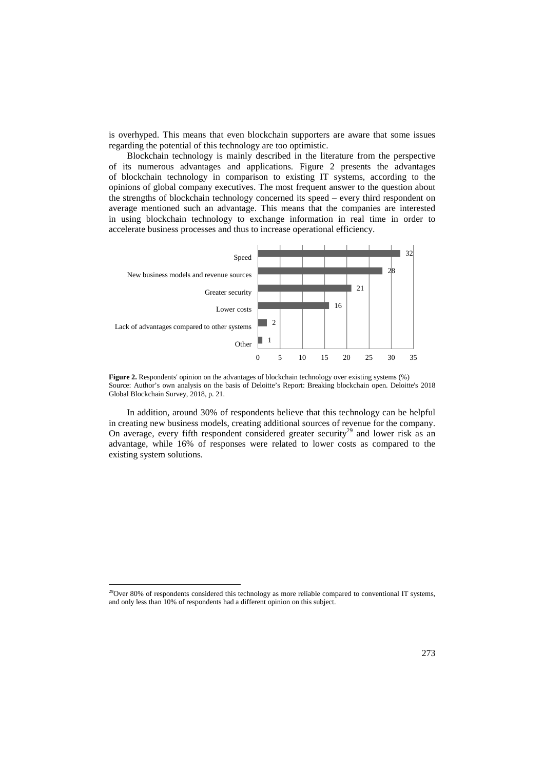is overhyped. This means that even blockchain supporters are aware that some issues regarding the potential of this technology are too optimistic.

Blockchain technology is mainly described in the literature from the perspective of its numerous advantages and applications. Figure 2 presents the advantages of blockchain technology in comparison to existing IT systems, according to the opinions of global company executives. The most frequent answer to the question about the strengths of blockchain technology concerned its speed – every third respondent on average mentioned such an advantage. This means that the companies are interested in using blockchain technology to exchange information in real time in order to accelerate business processes and thus to increase operational efficiency.



**Figure 2.** Respondents' opinion on the advantages of blockchain technology over existing systems (%) Source: Author's own analysis on the basis of Deloitte's Report: Breaking blockchain open. Deloitte's 2018 Global Blockchain Survey, 2018, p. 21.

In addition, around 30% of respondents believe that this technology can be helpful in creating new business models, creating additional sources of revenue for the company. On average, every fifth respondent considered greater security<sup>29</sup> and lower risk as an advantage, while 16% of responses were related to lower costs as compared to the existing system solutions.

 $29$ Over 80% of respondents considered this technology as more reliable compared to conventional IT systems, and only less than 10% of respondents had a different opinion on this subject.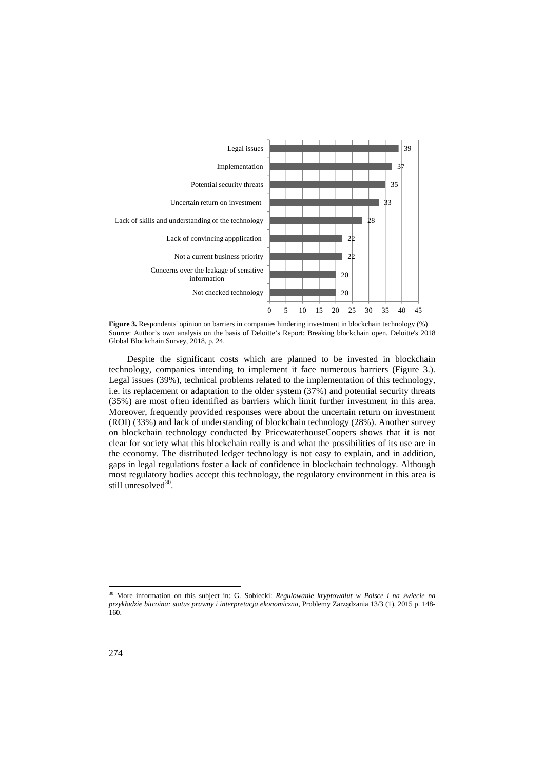

**Figure 3.** Respondents' opinion on barriers in companies hindering investment in blockchain technology (%) Source: Author's own analysis on the basis of Deloitte's Report: Breaking blockchain open. Deloitte's 2018 Global Blockchain Survey, 2018, p. 24.

Despite the significant costs which are planned to be invested in blockchain technology, companies intending to implement it face numerous barriers (Figure 3.). Legal issues (39%), technical problems related to the implementation of this technology, i.e. its replacement or adaptation to the older system (37%) and potential security threats (35%) are most often identified as barriers which limit further investment in this area. Moreover, frequently provided responses were about the uncertain return on investment (ROI) (33%) and lack of understanding of blockchain technology (28%). Another survey on blockchain technology conducted by PricewaterhouseCoopers shows that it is not clear for society what this blockchain really is and what the possibilities of its use are in the economy. The distributed ledger technology is not easy to explain, and in addition, gaps in legal regulations foster a lack of confidence in blockchain technology. Although most regulatory bodies accept this technology, the regulatory environment in this area is still unresolved<sup>30</sup>.

<sup>30</sup> More information on this subject in: G. Sobiecki: *Regulowanie kryptowalut w Polsce i na świecie na przykładzie bitcoina: status prawny i interpretacja ekonomiczna*, Problemy Zarządzania 13/3 (1), 2015 p. 148- 160.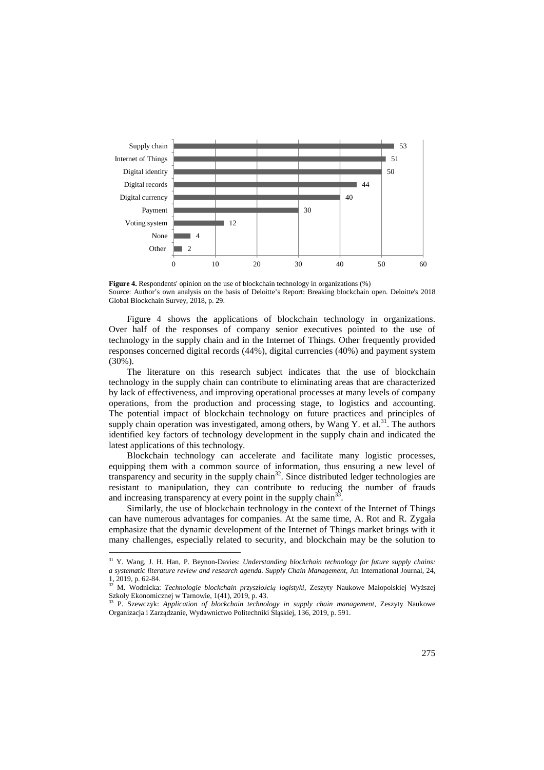

Figure 4. Respondents' opinion on the use of blockchain technology in organizations (%) Source: Author's own analysis on the basis of Deloitte's Report: Breaking blockchain open. Deloitte's 2018 Global Blockchain Survey, 2018, p. 29.

Figure 4 shows the applications of blockchain technology in organizations. Over half of the responses of company senior executives pointed to the use of technology in the supply chain and in the Internet of Things. Other frequently provided responses concerned digital records (44%), digital currencies (40%) and payment system (30%).

The literature on this research subject indicates that the use of blockchain technology in the supply chain can contribute to eliminating areas that are characterized by lack of effectiveness, and improving operational processes at many levels of company operations, from the production and processing stage, to logistics and accounting. The potential impact of blockchain technology on future practices and principles of supply chain operation was investigated, among others, by Wang Y. et al.<sup>31</sup>. The authors identified key factors of technology development in the supply chain and indicated the latest applications of this technology.

Blockchain technology can accelerate and facilitate many logistic processes, equipping them with a common source of information, thus ensuring a new level of transparency and security in the supply chain<sup>32</sup>. Since distributed ledger technologies are resistant to manipulation, they can contribute to reducing the number of frauds and increasing transparency at every point in the supply chain<sup>33</sup> .

Similarly, the use of blockchain technology in the context of the Internet of Things can have numerous advantages for companies. At the same time, A. Rot and R. Zygała emphasize that the dynamic development of the Internet of Things market brings with it many challenges, especially related to security, and blockchain may be the solution to

<sup>31</sup> Y. Wang, J. H. Han, P. Beynon-Davies: *Understanding blockchain technology for future supply chains: a systematic literature review and research agenda. Supply Chain Management*, An International Journal, 24, 1, 2019, p. 62-84.

<sup>32</sup> M. Wodnicka: *Technologie blockchain przyszłością logistyki*, Zeszyty Naukowe Małopolskiej Wyższej Szkoły Ekonomicznej w Tarnowie, 1(41), 2019, p. 43.

<sup>33</sup> P. Szewczyk: *Application of blockchain technology in supply chain management*, Zeszyty Naukowe Organizacja i Zarządzanie, Wydawnictwo Politechniki Śląskiej, 136, 2019, p. 591.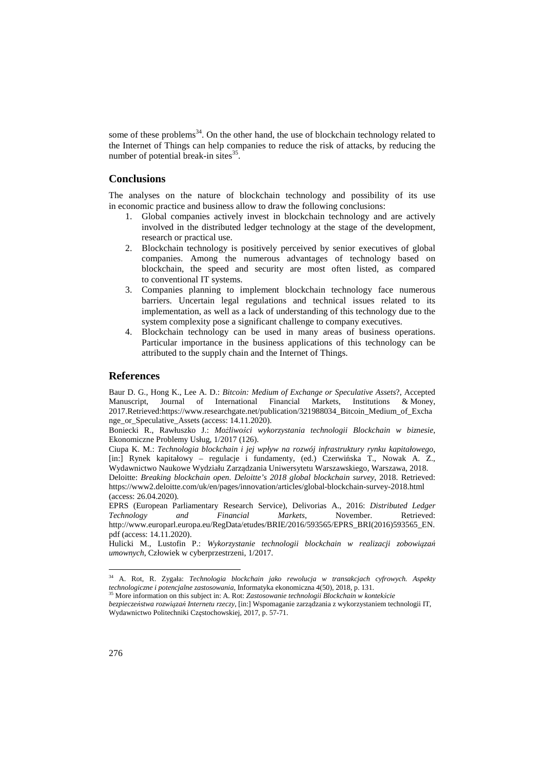some of these problems $34$ . On the other hand, the use of blockchain technology related to the Internet of Things can help companies to reduce the risk of attacks, by reducing the number of potential break-in sites $35$ .

#### **Conclusions**

The analyses on the nature of blockchain technology and possibility of its use in economic practice and business allow to draw the following conclusions:

- 1. Global companies actively invest in blockchain technology and are actively involved in the distributed ledger technology at the stage of the development, research or practical use.
- 2. Blockchain technology is positively perceived by senior executives of global companies. Among the numerous advantages of technology based on blockchain, the speed and security are most often listed, as compared to conventional IT systems.
- 3. Companies planning to implement blockchain technology face numerous barriers. Uncertain legal regulations and technical issues related to its implementation, as well as a lack of understanding of this technology due to the system complexity pose a significant challenge to company executives.
- 4. Blockchain technology can be used in many areas of business operations. Particular importance in the business applications of this technology can be attributed to the supply chain and the Internet of Things.

## **References**

Baur D. G., Hong K., Lee A. D.: *Bitcoin: Medium of Exchange or Speculative Assets*?, Accepted Manuscript, Journal of International Financial Markets, Institutions & Money, 2017.Retrieved:https://www.researchgate.net/publication/321988034\_Bitcoin\_Medium\_of\_Excha nge\_or\_Speculative\_Assets (access: 14.11.2020).

Boniecki R., Rawłuszko J.: *Możliwości wykorzystania technologii Blockchain w biznesie*, Ekonomiczne Problemy Usług, 1/2017 (126).

Ciupa K. M.: *Technologia blockchain i jej wpływ na rozwój infrastruktury rynku kapitałowego*, [in:] Rynek kapitałowy – regulacje i fundamenty, (ed.) Czerwińska T., Nowak A. Z., Wydawnictwo Naukowe Wydziału Zarządzania Uniwersytetu Warszawskiego, Warszawa, 2018. Deloitte: *Breaking blockchain open. Deloitte's 2018 global blockchain survey*, 2018. Retrieved:

https://www2.deloitte.com/uk/en/pages/innovation/articles/global-blockchain-survey-2018.html (access: 26.04.2020).

EPRS (European Parliamentary Research Service), Delivorias A., 2016: *Distributed Ledger Technology and Financial Markets*, November. Retrieved: http://www.europarl.europa.eu/RegData/etudes/BRIE/2016/593565/EPRS\_BRI(2016)593565\_EN. pdf (access: 14.11.2020).

Hulicki M., Lustofin P.: *Wykorzystanie technologii blockchain w realizacji zobowiązań umownych*, Człowiek w cyberprzestrzeni, 1/2017.

<sup>34</sup> A. Rot, R. Zygała: *Technologia blockchain jako rewolucja w transakcjach cyfrowych. Aspekty technologiczne i potencjalne zastosowania*, Informatyka ekonomiczna 4(50), 2018, p. 131.

<sup>35</sup> More information on this subject in: A. Rot: *Zastosowanie technologii Blockchain w kontekście* 

*bezpieczeństwa rozwiązań Internetu rzeczy*, [in:] Wspomaganie zarządzania z wykorzystaniem technologii IT, Wydawnictwo Politechniki Częstochowskiej, 2017, p. 57-71.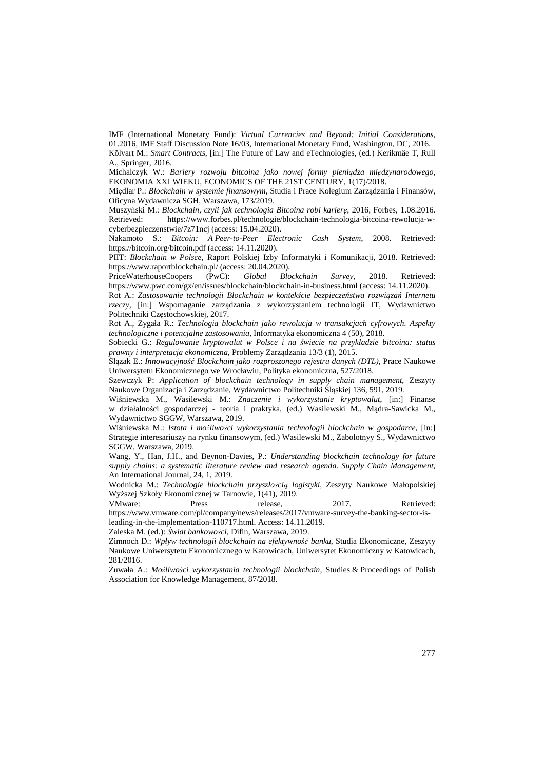IMF (International Monetary Fund): *Virtual Currencies and Beyond: Initial Considerations*, 01.2016, IMF Staff Discussion Note 16/03, International Monetary Fund, Washington, DC, 2016. Kõlvart M.: *Smart Contracts*, [in:] The Future of Law and eTechnologies, (ed.) Kerikmäe T, Rull A., Springer, 2016.

Michalczyk W.: *Bariery rozwoju bitcoina jako nowej formy pieniądza międzynarodowego*, EKONOMIA XXI WIEKU, ECONOMICS OF THE 21ST CENTURY, 1(17)/2018.

Międlar P.: *Blockchain w systemie finansowym*, Studia i Prace Kolegium Zarządzania i Finansów, Oficyna Wydawnicza SGH, Warszawa, 173/2019.

Muszyński M.: *Blockchain, czyli jak technologia Bitcoina robi karierę*, 2016, Forbes, 1.08.2016. Retrieved: https://www.forbes.pl/technologie/blockchain-technologia-bitcoina-rewolucja-wcyberbezpieczenstwie/7z71ncj (access: 15.04.2020).

Nakamoto S.: *Bitcoin: A Peer-to-Peer Electronic Cash System*, 2008. Retrieved: https://bitcoin.org/bitcoin.pdf (access: 14.11.2020).

PIIT: *Blockchain w Polsce*, Raport Polskiej Izby Informatyki i Komunikacji, 2018. Retrieved: https://www.raportblockchain.pl/ (access: 20.04.2020).

PriceWaterhouseCoopers (PwC): *Global Blockchain Survey*, 2018. Retrieved: https://www.pwc.com/gx/en/issues/blockchain/blockchain-in-business.html (access: 14.11.2020).

Rot A.: *Zastosowanie technologii Blockchain w kontekście bezpieczeństwa rozwiązań Internetu rzeczy*, [in:] Wspomaganie zarządzania z wykorzystaniem technologii IT, Wydawnictwo Politechniki Częstochowskiej, 2017.

Rot A., Zygała R.: *Technologia blockchain jako rewolucja w transakcjach cyfrowych. Aspekty technologiczne i potencjalne zastosowania*, Informatyka ekonomiczna 4 (50), 2018.

Sobiecki G.: *Regulowanie kryptowalut w Polsce i na świecie na przykładzie bitcoina: status prawny i interpretacja ekonomiczna*, Problemy Zarządzania 13/3 (1), 2015.

Ślązak E.: *Innowacyjność Blockchain jako rozproszonego rejestru danych (DTL)*, Prace Naukowe Uniwersytetu Ekonomicznego we Wrocławiu, Polityka ekonomiczna, 527/2018.

Szewczyk P: *Application of blockchain technology in supply chain management*, Zeszyty Naukowe Organizacja i Zarządzanie, Wydawnictwo Politechniki Śląskiej 136, 591, 2019.

Wiśniewska M., Wasilewski M.: *Znaczenie i wykorzystanie kryptowalut*, [in:] Finanse w działalności gospodarczej - teoria i praktyka, (ed.) Wasilewski M., Mądra-Sawicka M., Wydawnictwo SGGW, Warszawa, 2019.

Wiśniewska M.: *Istota i możliwości wykorzystania technologii blockchain w gospodarce*, [in:] Strategie interesariuszy na rynku finansowym, (ed.) Wasilewski M., Zabolotnyy S., Wydawnictwo SGGW, Warszawa, 2019.

Wang, Y., Han, J.H., and Beynon-Davies, P.: *Understanding blockchain technology for future supply chains: a systematic literature review and research agenda. Supply Chain Management*, An International Journal, 24, 1, 2019.

Wodnicka M.: *Technologie blockchain przyszłością logistyki*, Zeszyty Naukowe Małopolskiej Wyższej Szkoły Ekonomicznej w Tarnowie, 1(41), 2019.

VMware: Press release, 2017. Retrieved: https://www.vmware.com/pl/company/news/releases/2017/vmware-survey-the-banking-sector-isleading-in-the-implementation-110717.html. Access: 14.11.2019.

Zaleska M. (ed.): *Świat bankowości*, Difin, Warszawa, 2019.

Zimnoch D.: *Wpływ technologii blockchain na efektywność banku*, Studia Ekonomiczne, Zeszyty Naukowe Uniwersytetu Ekonomicznego w Katowicach, Uniwersytet Ekonomiczny w Katowicach, 281/2016.

Żuwała A.: *Możliwości wykorzystania technologii blockchain*, Studies & Proceedings of Polish Association for Knowledge Management, 87/2018.